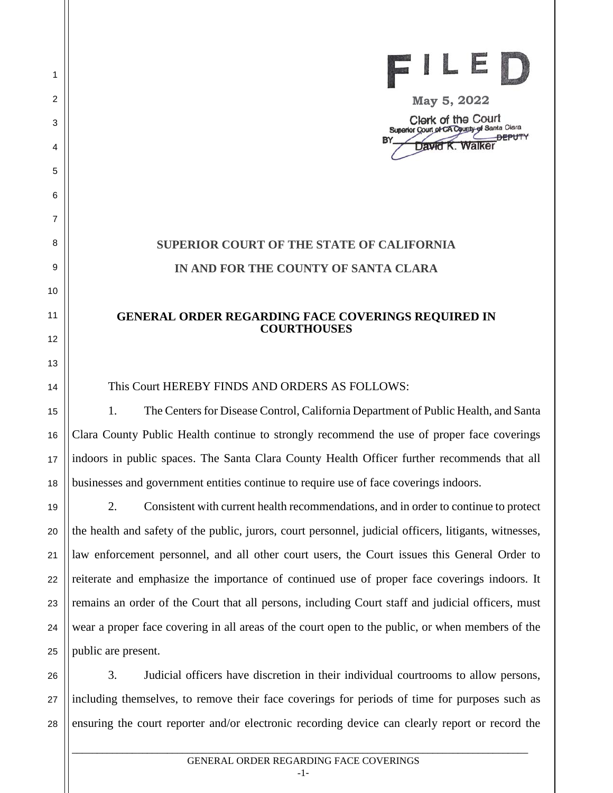

 **May 5, 2022**Clerk of the Court Superior Court of CA County of Santa Clara **BEPHTY** Walke

## **SUPERIOR COURT OF THE STATE OF CALIFORNIA IN AND FOR THE COUNTY OF SANTA CLARA**

## **GENERAL ORDER REGARDING FACE COVERINGS REQUIRED IN COURTHOUSES**

## This Court HEREBY FINDS AND ORDERS AS FOLLOWS:

1

2

3

4

5

6

7

8

9

10

11

12

13

14

15

16

17

18

19

20

21

22

23

24

25

1. The Centers for Disease Control, California Department of Public Health, and Santa Clara County Public Health continue to strongly recommend the use of proper face coverings indoors in public spaces. The Santa Clara County Health Officer further recommends that all businesses and government entities continue to require use of face coverings indoors.

2. Consistent with current health recommendations, and in order to continue to protect the health and safety of the public, jurors, court personnel, judicial officers, litigants, witnesses, law enforcement personnel, and all other court users, the Court issues this General Order to reiterate and emphasize the importance of continued use of proper face coverings indoors. It remains an order of the Court that all persons, including Court staff and judicial officers, must wear a proper face covering in all areas of the court open to the public, or when members of the public are present.

26 27 28 3. Judicial officers have discretion in their individual courtrooms to allow persons, including themselves, to remove their face coverings for periods of time for purposes such as ensuring the court reporter and/or electronic recording device can clearly report or record the